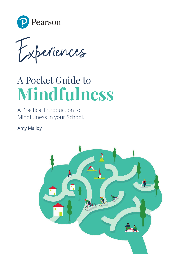

periences  $f_{x}$ 

# A Pocket Guide to **Mindfulness**

A Practical Introduction to Mindfulness in your School.

Amy Malloy

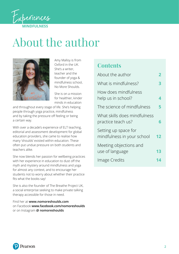

# About the author



Amy Malloy is from Oxford in the UK. She's a writer, teacher and the founder of yoga & mindfulness school, No More Shoulds.

She is on a mission for healthier, kinder minds in education

and throughout every stage of life. She's helping people through yoga practice, mindfulness and by taking the pressure off feeling or being a certain way.

With over a decade's experience of ELT teaching, editorial and assessment development for global education providers, she came to realise how many 'shoulds' existed within education. These often put undue pressure on both students and teachers alike.

She now blends her passion for wellbeing practices with her experience in education to dust off the myth and mystery around mindfulness and yoga for almost any context, and to encourage her students not to worry about whether their practice fits what the books say!

She is also the founder of The Breathe Project UK, a social enterprise seeking to make private talking therapy accessible for those in need.

Find her at **[www.nomoreshoulds.com](http://www.nomoreshoulds.com)** on Facebook **[www.facebook.com/nomoreshoulds](http://www.facebook.com/nomoreshoulds)** or on Instagram **[@ nomoreshoulds](https://www.instagram.com/nomoreshoulds/?hl=en)**

### **Contents**

| About the author                                   |    |
|----------------------------------------------------|----|
| What is mindfulness?                               | 3  |
| How does mindfulness<br>help us in school?         | 4  |
| The science of mindfulness                         | 5  |
| What skills does mindfulness<br>practice teach us? | 6  |
| Setting up space for<br>mindfulness in your school | 12 |
| Meeting objections and<br>use of language          | 13 |
| Image Credits                                      | 4  |

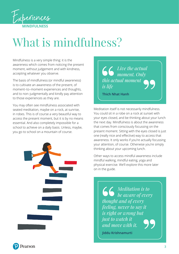<span id="page-2-0"></span>

# What is mindfulness?

Mindfulness is a very simple thing: it is the awareness which comes from noticing the present moment, without judgement and with kindness, accepting whatever you observe.

The basis of mindfulness (or mindful awareness) is to cultivate an awareness of the present, of moment–to–moment experiences and thoughts, and to non–judgmentally and kindly pay attention to those experiences as they are.

You may often see mindfulness associated with seated meditation, maybe on a rock, at sunrise, in robes. This is of course a very beautiful way to access the present moment, but it is by no means essential. And also completely impossible for a school to achieve on a daily basis. Unless, maybe, you go to school on a mountain of course.



*Live the actual moment. Only this actual moment is life*

**Thich Nhat Hanh**

Meditation itself is not necessarily mindfulness. You could sit in a robe on a rock at sunset with your eyes closed, and be thinking about your lunch the next day. Mindfulness is about the awareness that comes from consciously focussing on the present moment. Sitting with the eyes closed is just one (really nice and effective) way to access that awareness. It only works if you're actually focussing your attention, of course. Otherwise you're simply thinking about your upcoming lunch.

Other ways to access mindful awareness include mindful walking, mindful eating, yoga and physical exercise. We'll explore this more later on in the guide.

> *Meditation is to be aware of every thought and of every feeling, never to say it is right or wrong but just to watch it and move with it.*

**Jiddu Krishnamurti**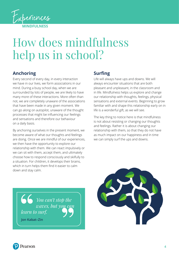<span id="page-3-0"></span>

## How does mindfulness help us in school?

### **Anchoring**

Every second of every day, in every interaction we have in our lives, we form associations in our mind. During a busy school day, when we are surrounded by lots of people, we are likely to have many more of these interactions. More often than not, we are completely unaware of the associations that have been made in any given moment. We can go along on autopilot, unaware of the thought processes that might be influencing our feelings and sensations and therefore our behaviour on a daily basis.

By anchoring ourselves in the present moment, we become aware of what our thoughts and feelings are doing. Once we are mindful of our experiences, we then have the opportunity to explore our relationship with them. We can react impulsively or we can sit with them, accept them, and ultimately choose how to respond consciously and skilfully to a situation. For children, it develops their brains, which in turn helps them find it easier to calm down and stay calm.

### **Surfing**

Life will always have ups and downs. We will always encounter situations that are both pleasant and unpleasant, in the classroom and in life. Mindfulness helps us explore and change our relationship with thoughts, feelings, physical sensations and external events. Beginning to grow familiar with and shape this relationship early on in life is a wonderful gift, as we will see.

The key thing to notice here is that mindfulness is not about resisting or changing our thoughts and feelings. Rather it is about changing our relationship with them, so that they do not have as much impact on our happiness and in time we can simply surf the ups and downs.

*You can't stop the waves, but you can learn to surf.*

**Jon Kabat–Zin**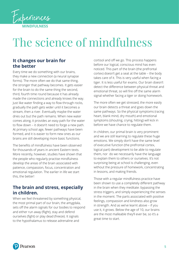<span id="page-4-0"></span>

# The science of mindfulness

#### **It changes our brain for the better**

Every time we do something with our brains, they make a new connection (a neural synapse forms). The more often we do that same thing, the stronger that pathway becomes. It gets easier for the brain to do the same thing the second, third, fourth time round because it has already made the connections and already knows the way. Just like water finding a way to flow through rocks, gradually the path gets wider until it becomes a stream, then a river. Eventually maybe the water dries out but the path remains. When new water comes along, it provides an easy path for the water to flow down – it doesn't need to forge a new path. At primary school age, fewer pathways have been formed, and it is easier to form new ones as our brains are still developing more basic functions.

The benefits of mindfulness have been observed for thousands of years in ancient Eastern texts. More recently, however, studies have shown that the people who regularly practise mindfulness develop the areas of the brain associated with patience, compassion, focus, concentration and emotional regulation. The earlier in life we start this, the better!

### **The brain and stress, especially in children.**

When we feel threatened by something physical, the most primal part of our brain, the amygdala, sets off the alarm signals for our bodies to respond and either run away (flight), stay and defend ourselves (fight) or play dead (freeze). It signals to the hypothalamus to release adrenaline and

cortisol and off we go. This process happens before our logical, conscious mind has even noticed. This part of the brain (the prefrontal cortex) doesn't get a seat at the table – the body takes care of it. This is very useful when facing a tiger. It is less useful for exams. Our brain doesn't detect the difference between physical threat and emotional threat, so will fire off the same alarm signal whether facing a tiger or doing homework.

The more often we get stressed, the more easily our brain detects a threat and goes down the same pathways. So the physical symptoms (racing heart, blank mind, dry mouth) and emotional symptoms (shouting, crying, hitting) will kick in before we have chance to regulate them.

In children, our primal brain is very prominent and we are still learning to regulate these huge emotions. We simply don't have the same level of executive function (the prefrontal cortex, logical part) development to be able to regulate them, nor do we necessarily have the language to explain them to others or ourselves. It's not surprising being at school is challenging, even without the pressure of homework, concentrating in lessons, and making friends.

Those with a regular mindfulness practice have been shown to use a completely different pathway in the brain when they meditate: bypassing the stress triggers, and simply experiencing the senses in the moment. The parts associated with positive feelings, compassion and kindness also grow in strength. And as we've learnt above – if you use it, it grows. Below the age of 10, our brains are the most malleable they'll ever be, so it's a great time to start.

Pearson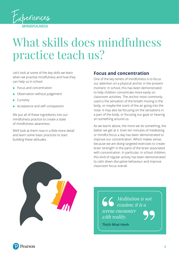<span id="page-5-0"></span>

## What skills does mindfulness practice teach us?

Let's look at some of the key skills we learn when we practise mindfulness and how they can help us in school.

- Focus and concentration
- Observation without judgement
- Curiosity
- Acceptance and self-compassion

We put all of these ingredients into our mindfulness practice to create a state of mindfulness awareness.

We'll look at them now in a little more detail and learn some basic practices to start building these attitudes.

#### **Focus and concentration**

One of the key tenets of mindfulness is to focus our attention on a physical anchor in the present moment. In school, this has been demonstrated to help children concentrate more easily on classroom activities. The anchor most commonly used is the sensation of the breath moving in the body, or maybe the scent of the air going into the nose. It may also be focusing on the sensations in a part of the body, or focusing our gaze or hearing on something around us.

As we learnt above, the more we do something, the better we get at it. Even ten minutes of meditating or mindful focus a day has been demonstrated to improve our concentration. Which makes sense, because we are doing targeted exercises to create brain 'strength' in the parts of the brain associated with concentration. In particular, in school children, this kind of regular activity has been demonstrated to calm down disruptive behaviour and improve classroom focus overall.



*Meditation is not evasion; it is a serene encounter with reality.*

**Thich Nhat Hanh**

Pearson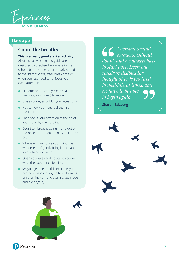

#### **Have a go**

### **Count the breaths**

#### **This is a really good starter activity.**

All of the activities in this guide are designed to practised anywhere in the school, but this one is particularly suited to the start of class, after break time or when you just need to re–focus your class' attention.

- Sit somewhere comfy. On a chair is fine ‑ you don't need to move.
- Close your eyes or blur your eyes softly.
- Notice how your feet feel against the floor.
- Then focus your attention at the tip of your nose, by the nostrils.
- Count ten breaths going in and out of the nose: 1 in… 1 out. 2 in… 2 out, and so on.
- Whenever you notice your mind has wandered off, gently bring it back and start where you left off.
- Open your eyes and notice to yourself what the experience felt like.
- (As you get used to this exercise, you can practise counting up to 20 breaths, or returning to 1 and starting again over and over again).

*Everyone's mind wanders, without doubt, and we always have to start over. Everyone resists or dislikes the thought of or is too tired to meditate at times, and we have to be able to begin again.*

**Sharon Salzberg**

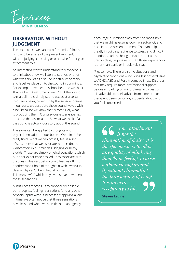

#### **OBSERVATION WITHOUT JUDGEMENT**

The second skill we can learn from mindfulness is how to be aware of the present moment, without judging, criticising or otherwise forming an attachment to it.

An interesting way to understand this concept is to think about how we listen to sounds. A lot of what we think of as a sound is actually the story and label we place on to the sound in our minds. For example – we hear a school bell, and we think 'that's a bell. Break time is over…'. But the sound isn't a bell – it is simply sound waves at a certain frequency being picked up by the sensory organs in our ears. We associate those sound waves with a bell because we know that is most likely what is producing them. Our previous experience has attached that association. So what we think of as the sound is actually our story about the sound.

The same can be applied to thoughts and physical sensations in our bodies. We think 'I feel really tired'. What we can actually feel is a set of sensations that we associate with tiredness – discomfort in our muscles, stinging or heavy eyelids. Those are simply physical sensations which our prior experience has led us to associate with tiredness. This association could lead us off into another rabbit hole of thoughts (I wish I wasn't in class – why can't I be in bed at home? This feels awful) which may even serve to worsen those sensations.

Mindfulness teaches us to consciously observe our thoughts, feelings, sensations (and any other sensory input) without necessarily applying a label. In time, we often notice that those sensations have lessened when we sit with them and gently

encourage our minds away from the rabbit hole that we might have gone down on autopilot, and back into the present moment. This can help greatly in building resilience to stress and difficult emotions, such as being nervous about a test or tired in class, helping us sit with those experiences rather than panic or impulsively react.

(Please note: There are some situations and psychiatric conditions – including but not exclusive to ADHD, ASD and Post–traumatic Stress Disorder, that may require more professional support before embarking on mindfulness activities so it is advisable to seek advice from a medical or therapeutic service for any students about whom you feel concerned.)

> *Non–attachment is not the elimination of desire. It is the spaciousness to allow any quality of mind, any thought or feeling, to arise without closing around it, without eliminating the pure witness of being. It is an active receptivity to life.*

**Steven Levine**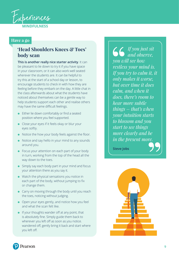

#### **Have a go**

### **'Head Shoulders Knees & Toes' body scan**

**This is another really nice starter activity**. It can be pleasant to lie down to try it if you have space in your classroom, or it can also work well seated wherever the students are. It can be helpful to try this at the start of a school day or lesson, to encourage students to check in with how they are feeling before they embark on the day. A little chat in the class afterwards about what the students have noticed about themselves can be a gentle way to help students support each other and realise others may have the same difficult feelings.

- Either lie down comfortably or find a seated position where you feel supported.
- Close your eyes if it feels okay or blur your eyes softly.
- Notice the how your body feels against the floor.
- Notice and say hello in your mind to any sounds around you.
- Focus your attention on each part of your body in turn, working from the top of the head all the way down to the toes.
- Simply say each body part in your mind and focus your attention there as you say it.
- Watch the physical sensations you notice in each part of the body, without jumping to fix or change them.
- Carry on moving through the body until you reach the toes, noticing without judging.
- Open your eyes gently, and notice how you feel and what the scan felt like.
- If your thoughts wander off at any point, that is absolutely fine. Simply guide them back to wherever you left off as soon as you notice. wandered off, gently bring it back and start where you left off.

*If you just sit and observe, you will see how restless your mind is. If you try to calm it, it only makes it worse, but over time it does calm, and when it does, there's room to hear more subtle things – that's when your intuition starts to blossom and you start to see things more clearly and be in the present more.*

**Steve Jobs**





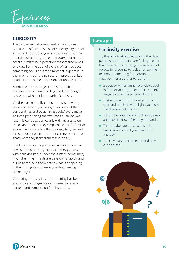

#### **CURIOSITY**

The third essential component of mindfulness practice is to foster a sense of curiosity. Try this for a moment: look up at your surroundings with the intention of noticing something you've not noticed before. It might be a poster on the classroom wall, or a detail on the back of a chair. When you spot something, focus on it for a moment, explore it. In that moment, our brains naturally produce a little spark of interest, be it conscious or unconscious.

Mindfulness encourages us to stop, look up and examine our surroundings and our thought processes with that little spark of curiosity.

Children are naturally curious – this is how they learn and develop, by being curious about their surroundings and scrutinising adults' every move. At some point along the way into adulthood, we lose this curiosity, particularly with regards to our minds and bodies. They simply need a safe, familiar space in which to allow that curiosity to grow, and the support of peers and adult carers/teachers to share what they learn from that curiosity.

In adults, the brain's processes are so familiar we have stopped noticing them (and they get away with behaving badly under the surface sometimes). In children, their minds are developing rapidly and curiosity can help them notice what is happening in their thoughts and feelings without feeling defined by it.

Cultivating curiosity in a school setting has been shown to encourage greater interest in lesson content and compassion for classmates.

#### **Have a go**

### **Curiosity exercise**

Try this activity at a quiet point in the class, perhaps when students are feeling tired or low in energy. Try bringing in a selection of objects for students to look at, or ask them to choose something from around the classroom for a partner to look at.

- Sit quietly with a familiar everyday object in front of you (e.g. a pen or piece of fruit). Imagine you've never seen it before.
- First explore it with your eyes. Turn it over and watch how the light catches it, the different colours, etc.
- Next, close your eyes or look softly away, and explore how it feels in your hands.
- Then maybe explore what it smells like or sounds like if you shake it up and down.
- Notice what you have learnt and how curiosity felt.

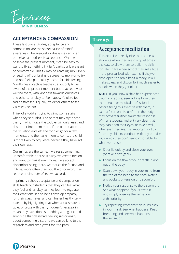

#### **ACCEPTANCE & COMPASSION**

These last two attitudes, acceptance and compassion, are the secret sauce of mindful awareness. The greatest kindness we can offer ourselves and others is acceptance. When we observe the present moment, it can be easy to want to fix something if it isn't particularly pleasant or comfortable. This fix may be reacting impulsively or setting off our brain's discrepancy monitor to try and not feel a particularly uncomfortable feeling. Mindfulness practice teaches us not only to be aware of the present moment but to accept what we find there, with kindness towards ourselves and others. It's okay to feel happy, it's ok to feel sad or stressed. Equally, it's ok for others to feel the way they feel.

Think of a toddler trying to climb some stairs when they shouldn't. The parent may try to stop them, in which case the toddler will only resist and desire to climb them more. If the parent accepts the situation and lets the toddler go for a few moments, and then asks them to come, the child is more likely to acquiesce because they have got their own way.

Our minds are the same: if we resist something uncomfortable or push it away, we create friction and want to think it even more. If we accept discomfort being there, we reduce the friction and in time, more often than not, the discomfort may reduce or dissipate of its own accord.

In primary school, acceptance and compassion skills teach our students that they can feel what they feel and it's okay, as they learn to regulate their emotions. It also helps develop empathy for their classmates, and can foster healthy self– esteem by highlighting that when a classmate is quiet or cross with them, it doesn't necessarily mean they have done something wrong. It could simply be that classmate feeling sad or angry about something else, and we can be kind to them regardless and simply wait for it to pass.

#### **Have a go**

#### **Acceptance meditation**

This exercise is really nice to practice with students when they are in a quiet time in the day, to allow them to build the skills for later in life when school may get a little more pressurised with exams. If they've developed the brain habit already, it will make stress and discomfort much easier to handle when they get older.

**NOTE:** If you know a child has experienced trauma or abuse, seek advice from their therapeutic or medical professional before trying this exercise with them, in case a focus on discomfort in the body may activate further traumatic response. With all students, make it very clear that they can open their eyes, or take a walk, whenever they like. It is important not to force any child to continue with any practice with which they don't feel comfortable, for whatever reason.

- Sit or lie quietly and close your eyes (or take a soft gaze).
- Focus on the flow of your breath in and out of the body.
- Scan down your body in your mind from the top of the head to the toes. Notice any pockets of tension or discomfort.
- Notice your response to the discomfort. See what happens if you sit with it and simply observe the sensation with curiosity.
- Try repeating 'Whatever this is, it's okay' in your mind. See what happens. Keep breathing and see what happens to the sensation.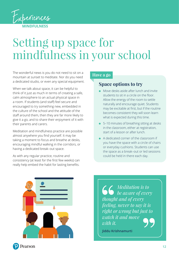<span id="page-11-0"></span>

## Setting up space for mindfulness in your school

The wonderful news is you do not need to sit on a mountain at sunset to meditate. Nor do you need a dedicated studio, or even any special equipment.

When we talk about space, it can be helpful to think of it just as much in terms of creating a safe, calm atmosphere to an actual physical space in a room. If students (and staff) feel secure and encouraged to try something new, embedded in the culture of the school and the attitude of the staff around them, then they are far more likely to give it a go, and to share their enjoyment of it with their parents and carers.

Meditation and mindfulness practice are possible almost anywhere you find yourself. It may be taking a moment to focus and breathe at desks, encouraging mindful walking in the corridors, or having a dedicated break–out space.

As with any regular practice, routine and consistency (at least for the first few weeks) can really help embed the habit for lasting benefits.

#### **Have a go**

### **Space options to try**

- Move desks aside after lunch and invite students to sit in a circle on the floor. Allow the energy of the room to settle naturally and encourage quiet. Students may be excitable at first, but if the routine becomes consistent they will soon learn what is expected during this time.
- 5–10 minutes of breathing sitting at desks in the classroom, either at registration, start of a lesson or after lunch.
- A dedicated corner of the classroom if you have the space with a circle of chairs or everyday cushions. Students can use the space as a break–out or led sessions could be held in there each day.



*Meditation is to be aware of every thought and of every feeling, never to say it is right or wrong but just to watch it and move with it.*

**Jiddu Krishnamurti**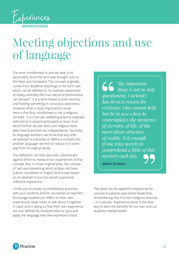<span id="page-12-0"></span>

# Meeting objections and use of language

The term 'mindfulness' is one we hear a lot, particularly since the term was brought over to the West and translated. The concept originally comes from Buddhist teachings in the term 'sati' which can be defined as "to maintain awareness of reality, whereby the true nature of phenomena can be seen". It is a term linked to both memory and holding something in conscious awareness. However what is most important to know here is that first, mindfulness is not a religious concept ‑ it is a secular wellbeing practice originally referred to in ancient philosophical texts, from which further secular texts and religious texts alike have branched out independently. Secondly, as language teachers, we know that any time we attempt to translate or define a concept into another language, we limit or reduce it in some way from its original sense.

This definition can then become a benchmark against which to measure our experiences of that concept. But, in those original texts, the concept of 'sati' was something which a) does not have a direct translation in English and b) was based on an attempt to put into words a personal reflective experience.

I invite you to simply try mindfulness practices with your students and for yourselves as teachers. Encourage students to reflect on their own experiences, keep notes or talk about it together in class, and in doing so find their own experience, not one defined by someone else (or you) and apply the language they feel expresses it best.

*The important thing is not to stop questioning. Curiosity has its own reason for existence. One cannot help but be in awe when he contemplates the mysteries of eternity, of life, of the marvellous structure of reality. It is enough if one tries merely to comprehend a little of this mystery each day.*

**Albert Einstein**

The same can be applied to explaining the concept to parents and school leadership, remembering that it is not a religious practice – it is secular. Experience alone is the best way to learn the benefits for our own and our students' mental health.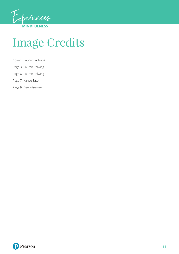<span id="page-13-0"></span>

# Image Credits

- Cover: Lauren Rolwing
- Page 3: Lauren Rolwing
- Page 6: Lauren Rolwing
- Page 7: Kanae Sato
- Page 9 Ben Wiseman